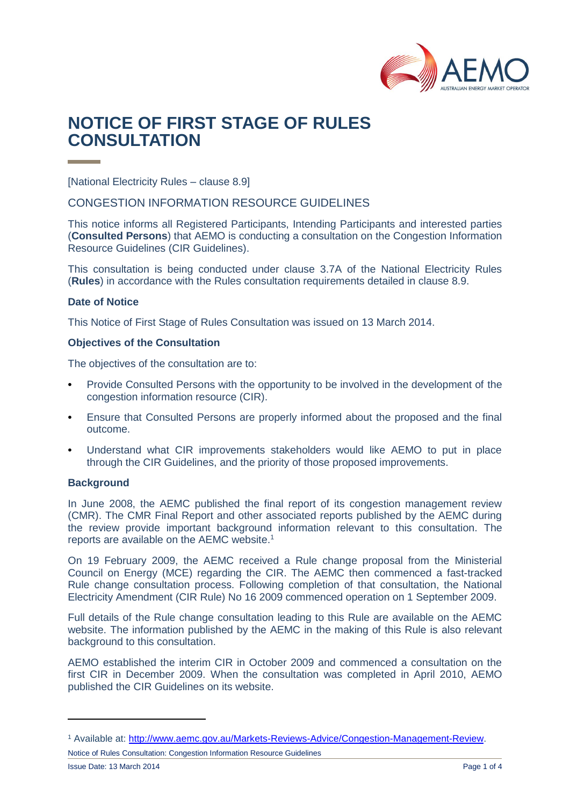

# **NOTICE OF FIRST STAGE OF RULES CONSULTATION**

[National Electricity Rules – clause 8.9]

CONGESTION INFORMATION RESOURCE GUIDELINES

This notice informs all Registered Participants, Intending Participants and interested parties (**Consulted Persons**) that AEMO is conducting a consultation on the Congestion Information Resource Guidelines (CIR Guidelines).

This consultation is being conducted under clause 3.7A of the National Electricity Rules (**Rules**) in accordance with the Rules consultation requirements detailed in clause 8.9.

## **Date of Notice**

This Notice of First Stage of Rules Consultation was issued on 13 March 2014.

## **Objectives of the Consultation**

The objectives of the consultation are to:

- Provide Consulted Persons with the opportunity to be involved in the development of the congestion information resource (CIR).
- Ensure that Consulted Persons are properly informed about the proposed and the final outcome.
- Understand what CIR improvements stakeholders would like AEMO to put in place through the CIR Guidelines, and the priority of those proposed improvements.

#### **Background**

In June 2008, the AEMC published the final report of its congestion management review (CMR). The CMR Final Report and other associated reports published by the AEMC during the review provide important background information relevant to this consultation. The reports are available on the AEMC website. 1

On 19 February 2009, the AEMC received a Rule change proposal from the Ministerial Council on Energy (MCE) regarding the CIR. The AEMC then commenced a fast-tracked Rule change consultation process. Following completion of that consultation, the National Electricity Amendment (CIR Rule) No 16 2009 commenced operation on 1 September 2009.

Full details of the Rule change consultation leading to this Rule are available on the AEMC website. The information published by the AEMC in the making of this Rule is also relevant background to this consultation.

AEMO established the interim CIR in October 2009 and commenced a consultation on the first CIR in December 2009. When the consultation was completed in April 2010, AEMO published the CIR Guidelines on its website.

Notice of Rules Consultation: Congestion Information Resource Guidelines

<sup>1</sup> Available at: [http://www.aemc.gov.au/Markets-Reviews-Advice/Congestion-Management-Review.](http://www.aemc.gov.au/Markets-Reviews-Advice/Congestion-Management-Review)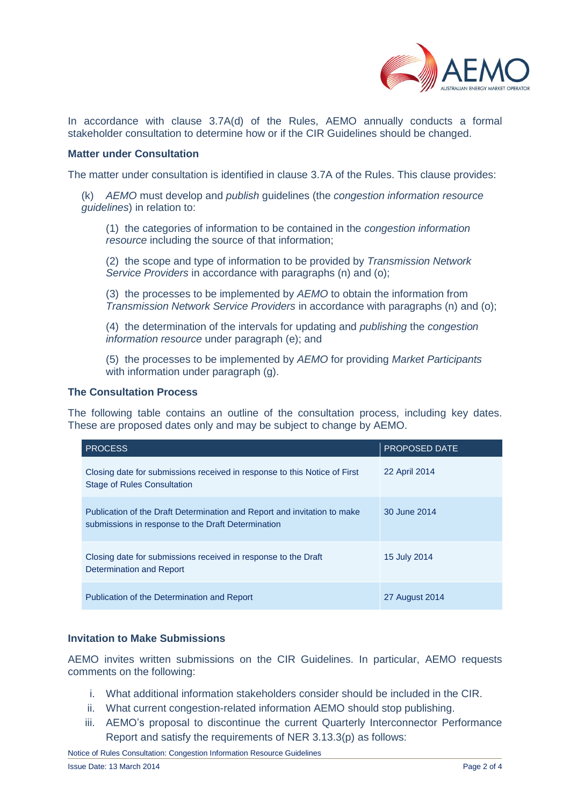

In accordance with clause 3.7A(d) of the Rules, AEMO annually conducts a formal stakeholder consultation to determine how or if the CIR Guidelines should be changed.

### **Matter under Consultation**

The matter under consultation is identified in clause 3.7A of the Rules. This clause provides:

(k) *AEMO* must develop and *publish* guidelines (the *congestion information resource guidelines*) in relation to:

(1) the categories of information to be contained in the *congestion information resource* including the source of that information;

(2) the scope and type of information to be provided by *Transmission Network Service Providers* in accordance with paragraphs (n) and (o);

(3) the processes to be implemented by *AEMO* to obtain the information from *Transmission Network Service Providers* in accordance with paragraphs (n) and (o);

(4) the determination of the intervals for updating and *publishing* the *congestion information resource* under paragraph (e); and

(5) the processes to be implemented by *AEMO* for providing *Market Participants*  with information under paragraph (g).

#### **The Consultation Process**

The following table contains an outline of the consultation process, including key dates. These are proposed dates only and may be subject to change by AEMO.

| <b>PROCESS</b>                                                                                                                 | <b>PROPOSED DATE</b> |
|--------------------------------------------------------------------------------------------------------------------------------|----------------------|
| Closing date for submissions received in response to this Notice of First<br><b>Stage of Rules Consultation</b>                | 22 April 2014        |
| Publication of the Draft Determination and Report and invitation to make<br>submissions in response to the Draft Determination | 30 June 2014         |
| Closing date for submissions received in response to the Draft<br>Determination and Report                                     | 15 July 2014         |
| Publication of the Determination and Report                                                                                    | 27 August 2014       |

## **Invitation to Make Submissions**

AEMO invites written submissions on the CIR Guidelines. In particular, AEMO requests comments on the following:

- i. What additional information stakeholders consider should be included in the CIR.
- ii. What current congestion-related information AEMO should stop publishing.
- iii. AEMO's proposal to discontinue the current Quarterly Interconnector Performance Report and satisfy the requirements of NER 3.13.3(p) as follows: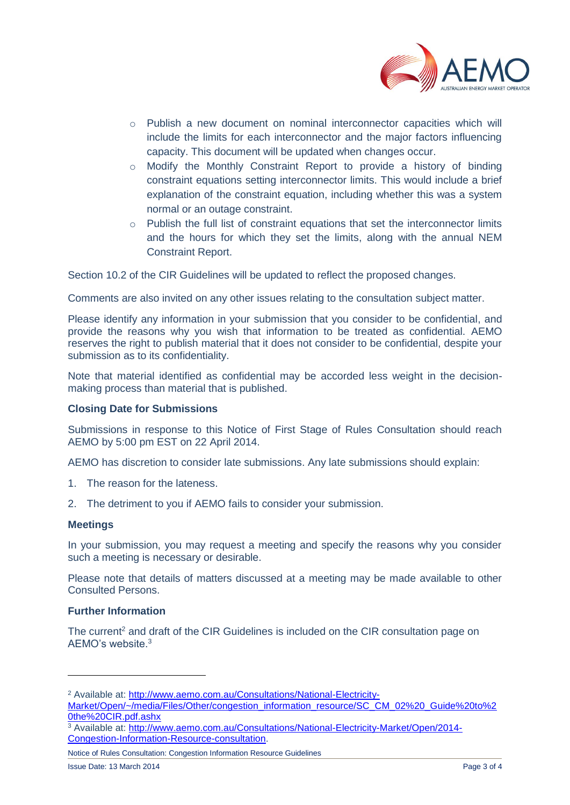

- o Publish a new document on nominal interconnector capacities which will include the limits for each interconnector and the major factors influencing capacity. This document will be updated when changes occur.
- $\circ$  Modify the Monthly Constraint Report to provide a history of binding constraint equations setting interconnector limits. This would include a brief explanation of the constraint equation, including whether this was a system normal or an outage constraint.
- $\circ$  Publish the full list of constraint equations that set the interconnector limits and the hours for which they set the limits, along with the annual NEM Constraint Report.

Section 10.2 of the CIR Guidelines will be updated to reflect the proposed changes.

Comments are also invited on any other issues relating to the consultation subject matter.

Please identify any information in your submission that you consider to be confidential, and provide the reasons why you wish that information to be treated as confidential. AEMO reserves the right to publish material that it does not consider to be confidential, despite your submission as to its confidentiality.

Note that material identified as confidential may be accorded less weight in the decisionmaking process than material that is published.

## **Closing Date for Submissions**

Submissions in response to this Notice of First Stage of Rules Consultation should reach AEMO by 5:00 pm EST on 22 April 2014.

AEMO has discretion to consider late submissions. Any late submissions should explain:

- 1. The reason for the lateness.
- 2. The detriment to you if AEMO fails to consider your submission.

#### **Meetings**

 $\overline{a}$ 

In your submission, you may request a meeting and specify the reasons why you consider such a meeting is necessary or desirable.

Please note that details of matters discussed at a meeting may be made available to other Consulted Persons.

## **Further Information**

The current<sup>2</sup> and draft of the CIR Guidelines is included on the CIR consultation page on AEMO's website.<sup>3</sup>

<sup>&</sup>lt;sup>2</sup> Available at: [http://www.aemo.com.au/Consultations/National-Electricity-](http://www.aemo.com.au/Consultations/National-Electricity-Market/Open/~/media/Files/Other/congestion_information_resource/SC_CM_02%20_Guide%20to%20the%20CIR.pdf.ashx)

[Market/Open/~/media/Files/Other/congestion\\_information\\_resource/SC\\_CM\\_02%20\\_Guide%20to%2](http://www.aemo.com.au/Consultations/National-Electricity-Market/Open/~/media/Files/Other/congestion_information_resource/SC_CM_02%20_Guide%20to%20the%20CIR.pdf.ashx) [0the%20CIR.pdf.ashx](http://www.aemo.com.au/Consultations/National-Electricity-Market/Open/~/media/Files/Other/congestion_information_resource/SC_CM_02%20_Guide%20to%20the%20CIR.pdf.ashx)

<sup>3</sup> Available at: [http://www.aemo.com.au/Consultations/National-Electricity-Market/Open/2014-](http://www.aemo.com.au/Consultations/National-Electricity-Market/Open/2014-Congestion-Information-Resource-consultation) [Congestion-Information-Resource-consultation.](http://www.aemo.com.au/Consultations/National-Electricity-Market/Open/2014-Congestion-Information-Resource-consultation)

Notice of Rules Consultation: Congestion Information Resource Guidelines